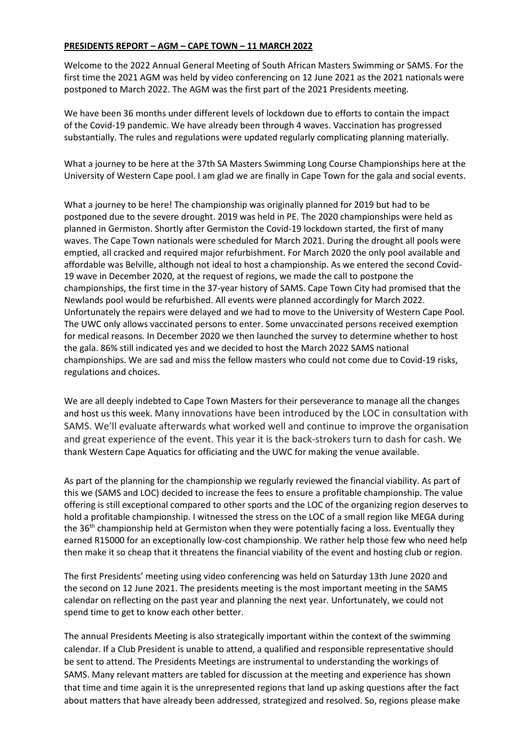## **PRESIDENTS REPORT – AGM – CAPE TOWN – 11 MARCH 2022**

Welcome to the 2022 Annual General Meeting of South African Masters Swimming or SAMS. For the first time the 2021 AGM was held by video conferencing on 12 June 2021 as the 2021 nationals were postponed to March 2022. The AGM was the first part of the 2021 Presidents meeting.

We have been 36 months under different levels of lockdown due to efforts to contain the impact of the Covid-19 pandemic. We have already been through 4 waves. Vaccination has progressed substantially. The rules and regulations were updated regularly complicating planning materially.

What a journey to be here at the 37th SA Masters Swimming Long Course Championships here at the University of Western Cape pool. I am glad we are finally in Cape Town for the gala and social events.

What a journey to be here! The championship was originally planned for 2019 but had to be postponed due to the severe drought. 2019 was held in PE. The 2020 championships were held as planned in Germiston. Shortly after Germiston the Covid-19 lockdown started, the first of many waves. The Cape Town nationals were scheduled for March 2021. During the drought all pools were emptied, all cracked and required major refurbishment. For March 2020 the only pool available and affordable was Belville, although not ideal to host a championship. As we entered the second Covid-19 wave in December 2020, at the request of regions, we made the call to postpone the championships, the first time in the 37-year history of SAMS. Cape Town City had promised that the Newlands pool would be refurbished. All events were planned accordingly for March 2022. Unfortunately the repairs were delayed and we had to move to the University of Western Cape Pool. The UWC only allows vaccinated persons to enter. Some unvaccinated persons received exemption for medical reasons. In December 2020 we then launched the survey to determine whether to host the gala. 86% still indicated yes and we decided to host the March 2022 SAMS national championships. We are sad and miss the fellow masters who could not come due to Covid-19 risks, regulations and choices.

We are all deeply indebted to Cape Town Masters for their perseverance to manage all the changes and host us this week. Many innovations have been introduced by the LOC in consultation with SAMS. We'll evaluate afterwards what worked well and continue to improve the organisation and great experience of the event. This year it is the back-strokers turn to dash for cash. We thank Western Cape Aquatics for officiating and the UWC for making the venue available.

As part of the planning for the championship we regularly reviewed the financial viability. As part of this we (SAMS and LOC) decided to increase the fees to ensure a profitable championship. The value offering is still exceptional compared to other sports and the LOC of the organizing region deserves to hold a profitable championship. I witnessed the stress on the LOC of a small region like MEGA during the 36<sup>th</sup> championship held at Germiston when they were potentially facing a loss. Eventually they earned R15000 for an exceptionally low-cost championship. We rather help those few who need help then make it so cheap that it threatens the financial viability of the event and hosting club or region.

The first Presidents' meeting using video conferencing was held on Saturday 13th June 2020 and the second on 12 June 2021. The presidents meeting is the most important meeting in the SAMS calendar on reflecting on the past year and planning the next year. Unfortunately, we could not spend time to get to know each other better.

The annual Presidents Meeting is also strategically important within the context of the swimming calendar. If a Club President is unable to attend, a qualified and responsible representative should be sent to attend. The Presidents Meetings are instrumental to understanding the workings of SAMS. Many relevant matters are tabled for discussion at the meeting and experience has shown that time and time again it is the unrepresented regions that land up asking questions after the fact about matters that have already been addressed, strategized and resolved. So, regions please make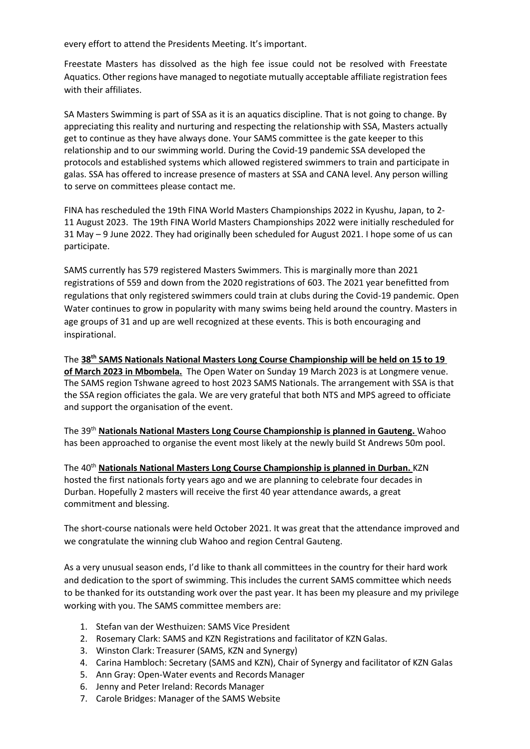every effort to attend the Presidents Meeting. It's important.

Freestate Masters has dissolved as the high fee issue could not be resolved with Freestate Aquatics. Other regions have managed to negotiate mutually acceptable affiliate registration fees with their affiliates.

SA Masters Swimming is part of SSA as it is an aquatics discipline. That is not going to change. By appreciating this reality and nurturing and respecting the relationship with SSA, Masters actually get to continue as they have always done. Your SAMS committee is the gate keeper to this relationship and to our swimming world. During the Covid-19 pandemic SSA developed the protocols and established systems which allowed registered swimmers to train and participate in galas. SSA has offered to increase presence of masters at SSA and CANA level. Any person willing to serve on committees please contact me.

FINA has rescheduled the 19th FINA World Masters Championships 2022 in Kyushu, Japan, to 2- 11 August 2023. The 19th FINA World Masters Championships 2022 were initially rescheduled for 31 May – 9 June 2022. They had originally been scheduled for August 2021. I hope some of us can participate.

SAMS currently has 579 registered Masters Swimmers. This is marginally more than 2021 registrations of 559 and down from the 2020 registrations of 603. The 2021 year benefitted from regulations that only registered swimmers could train at clubs during the Covid-19 pandemic. Open Water continues to grow in popularity with many swims being held around the country. Masters in age groups of 31 and up are well recognized at these events. This is both encouraging and inspirational.

The **38th SAMS Nationals National Masters Long Course Championship will be held on 15 to 19 of March 2023 in Mbombela.** The Open Water on Sunday 19 March 2023 is at Longmere venue. The SAMS region Tshwane agreed to host 2023 SAMS Nationals. The arrangement with SSA is that the SSA region officiates the gala. We are very grateful that both NTS and MPS agreed to officiate and support the organisation of the event.

The 39th **Nationals National Masters Long Course Championship is planned in Gauteng.** Wahoo has been approached to organise the event most likely at the newly build St Andrews 50m pool.

The 40th **Nationals National Masters Long Course Championship is planned in Durban.** KZN hosted the first nationals forty years ago and we are planning to celebrate four decades in Durban. Hopefully 2 masters will receive the first 40 year attendance awards, a great commitment and blessing.

The short-course nationals were held October 2021. It was great that the attendance improved and we congratulate the winning club Wahoo and region Central Gauteng.

As a very unusual season ends, I'd like to thank all committees in the country for their hard work and dedication to the sport of swimming. This includes the current SAMS committee which needs to be thanked for its outstanding work over the past year. It has been my pleasure and my privilege working with you. The SAMS committee members are:

- 1. Stefan van der Westhuizen: SAMS Vice President
- 2. Rosemary Clark: SAMS and KZN Registrations and facilitator of KZNGalas.
- 3. Winston Clark: Treasurer (SAMS, KZN and Synergy)
- 4. Carina Hambloch: Secretary (SAMS and KZN), Chair of Synergy and facilitator of KZN Galas
- 5. Ann Gray: Open-Water events and Records Manager
- 6. Jenny and Peter Ireland: Records Manager
- 7. Carole Bridges: Manager of the SAMS Website